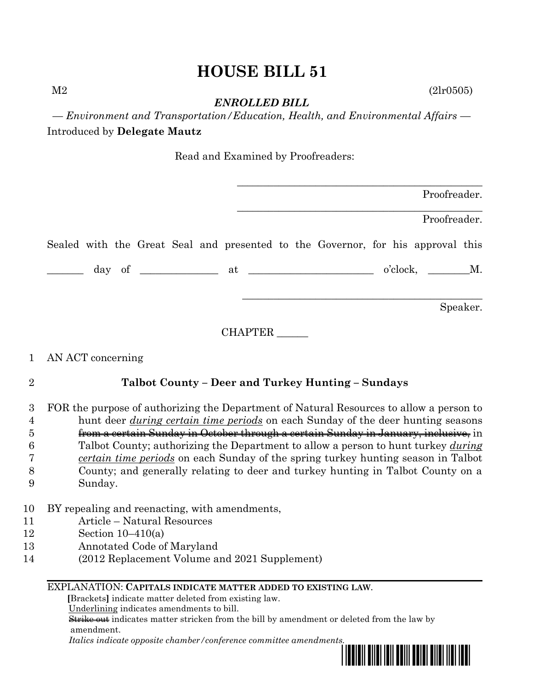# **HOUSE BILL 51**

 $M2$  (2lr0505)

*ENROLLED BILL*

*— Environment and Transportation/Education, Health, and Environmental Affairs —* Introduced by **Delegate Mautz**

Read and Examined by Proofreaders:

|                                                                                 | Proofreader. |
|---------------------------------------------------------------------------------|--------------|
|                                                                                 | Proofreader. |
| Sealed with the Great Seal and presented to the Governor, for his approval this |              |
| $o'clock,$ $M.$                                                                 |              |
|                                                                                 | Speaker.     |

CHAPTER \_\_\_\_\_\_

## 1 AN ACT concerning

## 2 **Talbot County – Deer and Turkey Hunting – Sundays**

## 3 FOR the purpose of authorizing the Department of Natural Resources to allow a person to 4 hunt deer *during certain time periods* on each Sunday of the deer hunting seasons 5 from a certain Sunday in October through a certain Sunday in January, inclusive, in 6 Talbot County; authorizing the Department to allow a person to hunt turkey *during*  7 *certain time periods* on each Sunday of the spring turkey hunting season in Talbot 8 County; and generally relating to deer and turkey hunting in Talbot County on a

- 9 Sunday.
- 10 BY repealing and reenacting, with amendments,
- 11 Article Natural Resources
- 12 Section 10–410(a)
- 13 Annotated Code of Maryland
- 14 (2012 Replacement Volume and 2021 Supplement)

### EXPLANATION: **CAPITALS INDICATE MATTER ADDED TO EXISTING LAW**.

 **[**Brackets**]** indicate matter deleted from existing law.

Underlining indicates amendments to bill.

 Strike out indicates matter stricken from the bill by amendment or deleted from the law by amendment.

 *Italics indicate opposite chamber/conference committee amendments.*

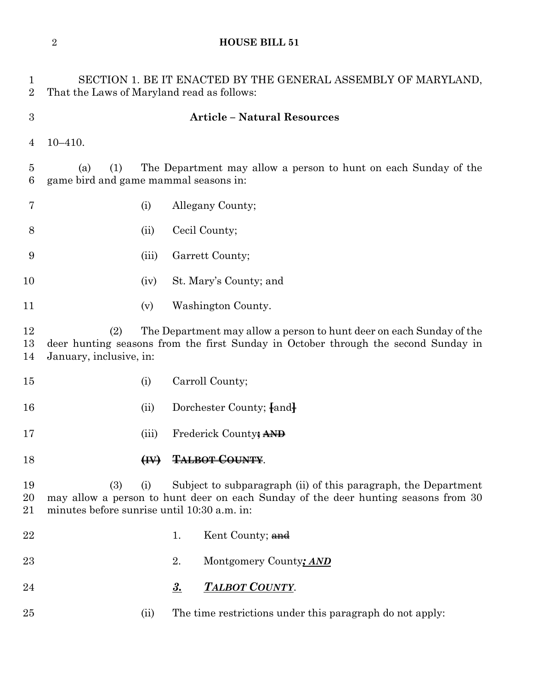## **HOUSE BILL 51**

| $\mathbf 1$<br>$\overline{2}$ | SECTION 1. BE IT ENACTED BY THE GENERAL ASSEMBLY OF MARYLAND,<br>That the Laws of Maryland read as follows:                                                                                  |                           |           |                                                                                                                                                      |
|-------------------------------|----------------------------------------------------------------------------------------------------------------------------------------------------------------------------------------------|---------------------------|-----------|------------------------------------------------------------------------------------------------------------------------------------------------------|
| $\boldsymbol{3}$              | <b>Article - Natural Resources</b>                                                                                                                                                           |                           |           |                                                                                                                                                      |
| 4                             | $10 - 410.$                                                                                                                                                                                  |                           |           |                                                                                                                                                      |
| $\overline{5}$<br>6           | (1)<br>(a)<br>game bird and game mammal seasons in:                                                                                                                                          |                           |           | The Department may allow a person to hunt on each Sunday of the                                                                                      |
| 7                             |                                                                                                                                                                                              | (i)                       |           | Allegany County;                                                                                                                                     |
| 8                             |                                                                                                                                                                                              | (ii)                      |           | Cecil County;                                                                                                                                        |
| 9                             |                                                                                                                                                                                              | (iii)                     |           | Garrett County;                                                                                                                                      |
| 10                            |                                                                                                                                                                                              | (iv)                      |           | St. Mary's County; and                                                                                                                               |
| 11                            |                                                                                                                                                                                              | (v)                       |           | Washington County.                                                                                                                                   |
| 12<br>13<br>14                | The Department may allow a person to hunt deer on each Sunday of the<br>(2)<br>deer hunting seasons from the first Sunday in October through the second Sunday in<br>January, inclusive, in: |                           |           |                                                                                                                                                      |
| 15                            |                                                                                                                                                                                              | (i)                       |           | Carroll County;                                                                                                                                      |
| 16                            |                                                                                                                                                                                              | (ii)                      |           | Dorchester County; [and]                                                                                                                             |
| 17                            |                                                                                                                                                                                              | (iii)                     |           | Frederick County; AND                                                                                                                                |
| 18                            |                                                                                                                                                                                              | $\left(\mathbf{H}\right)$ |           | <b>TALBOT COUNTY</b>                                                                                                                                 |
| 19<br>20<br>21                | (3)<br>(i)<br>minutes before sunrise until 10:30 a.m. in:                                                                                                                                    |                           |           | Subject to subparagraph (ii) of this paragraph, the Department<br>may allow a person to hunt deer on each Sunday of the deer hunting seasons from 30 |
| 22                            |                                                                                                                                                                                              |                           | 1.        | Kent County; and                                                                                                                                     |
| 23                            |                                                                                                                                                                                              |                           | 2.        | Montgomery County; AND                                                                                                                               |
| 24                            |                                                                                                                                                                                              |                           | <u>3.</u> | TALBOT COUNTY.                                                                                                                                       |
| 25                            |                                                                                                                                                                                              | (ii)                      |           | The time restrictions under this paragraph do not apply:                                                                                             |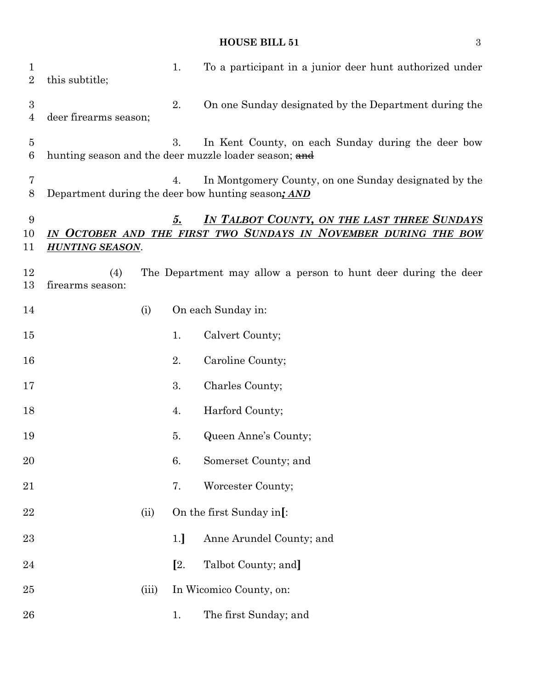## **HOUSE BILL 51** 3

| $\mathbf 1$<br>$\overline{2}$ | this subtitle;                        |       | 1.             | To a participant in a junior deer hunt authorized under                                                     |
|-------------------------------|---------------------------------------|-------|----------------|-------------------------------------------------------------------------------------------------------------|
| $\boldsymbol{3}$<br>4         | deer firearms season;                 |       | 2.             | On one Sunday designated by the Department during the                                                       |
| 5<br>6                        |                                       |       | 3.             | In Kent County, on each Sunday during the deer bow<br>hunting season and the deer muzzle loader season; and |
| 7<br>8                        |                                       |       | 4.             | In Montgomery County, on one Sunday designated by the<br>Department during the deer bow hunting season; AND |
| 9<br>10<br>11                 | $\bm{IN}^-$<br><b>HUNTING SEASON.</b> |       | 5.             | IN TALBOT COUNTY, ON THE LAST THREE SUNDAYS<br>OCTOBER AND THE FIRST TWO SUNDAYS IN NOVEMBER DURING THE BOW |
| 12<br>13                      | (4)<br>firearms season:               |       |                | The Department may allow a person to hunt deer during the deer                                              |
| 14                            |                                       | (i)   |                | On each Sunday in:                                                                                          |
| 15                            |                                       |       | 1.             | Calvert County;                                                                                             |
| 16                            |                                       |       | 2.             | Caroline County;                                                                                            |
| 17                            |                                       |       | 3.             | Charles County;                                                                                             |
| 18                            |                                       |       | 4.             | Harford County;                                                                                             |
| 19                            |                                       |       | 5.             | Queen Anne's County;                                                                                        |
| 20                            |                                       |       | 6.             | Somerset County; and                                                                                        |
| 21                            |                                       |       | 7.             | Worcester County;                                                                                           |
| 22                            |                                       | (ii)  |                | On the first Sunday in[:                                                                                    |
| 23                            |                                       |       | 1.             | Anne Arundel County; and                                                                                    |
| 24                            |                                       |       | $\mathbb{Z}$ . | Talbot County; and]                                                                                         |
| 25                            |                                       | (iii) |                | In Wicomico County, on:                                                                                     |
| 26                            |                                       |       | 1.             | The first Sunday; and                                                                                       |
|                               |                                       |       |                |                                                                                                             |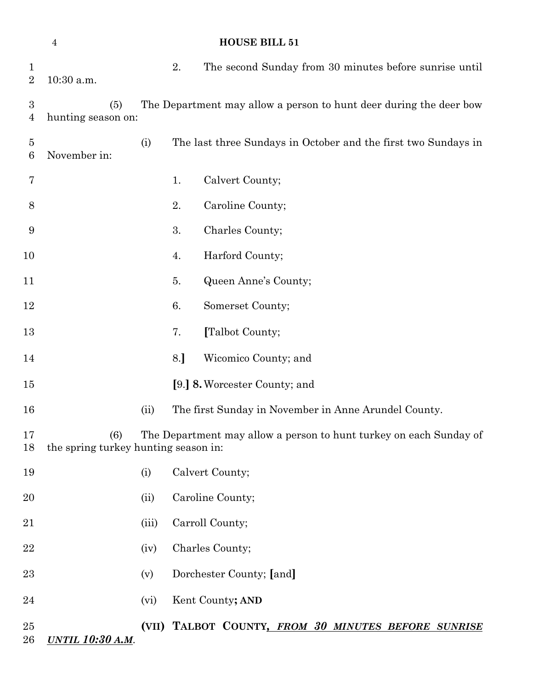|                                    | $\overline{4}$                              |       |     | <b>HOUSE BILL 51</b>                                               |
|------------------------------------|---------------------------------------------|-------|-----|--------------------------------------------------------------------|
| $\mathbf 1$<br>$\overline{2}$      | 10:30 a.m.                                  |       | 2.  | The second Sunday from 30 minutes before sunrise until             |
| $\boldsymbol{3}$<br>$\overline{4}$ | (5)<br>hunting season on:                   |       |     | The Department may allow a person to hunt deer during the deer bow |
| $\overline{5}$<br>$6\phantom{.}6$  | November in:                                | (i)   |     | The last three Sundays in October and the first two Sundays in     |
| 7                                  |                                             |       | 1.  | Calvert County;                                                    |
| 8                                  |                                             |       | 2.  | Caroline County;                                                   |
| $\boldsymbol{9}$                   |                                             |       | 3.  | Charles County;                                                    |
| 10                                 |                                             |       | 4.  | Harford County;                                                    |
| 11                                 |                                             |       | 5.  | Queen Anne's County;                                               |
| 12                                 |                                             |       | 6.  | Somerset County;                                                   |
| 13                                 |                                             |       | 7.  | [Talbot County;                                                    |
| 14                                 |                                             |       | 8.] | Wicomico County; and                                               |
| $15\,$                             |                                             |       |     | [9.] 8. Worcester County; and                                      |
| 16                                 |                                             | (ii)  |     | The first Sunday in November in Anne Arundel County.               |
| 17<br>18                           | (6)<br>the spring turkey hunting season in: |       |     | The Department may allow a person to hunt turkey on each Sunday of |
| 19                                 |                                             | (i)   |     | Calvert County;                                                    |
| 20                                 |                                             | (ii)  |     | Caroline County;                                                   |
| 21                                 |                                             | (iii) |     | Carroll County;                                                    |
| 22                                 |                                             | (iv)  |     | Charles County;                                                    |
| 23                                 |                                             | (v)   |     | Dorchester County; [and]                                           |
| 24                                 |                                             | (vi)  |     | Kent County; AND                                                   |
| 25<br>$26\,$                       | <u>UNTIL 10:30 A.M.</u>                     |       |     | (VII) TALBOT COUNTY, FROM 30 MINUTES BEFORE SUNRISE                |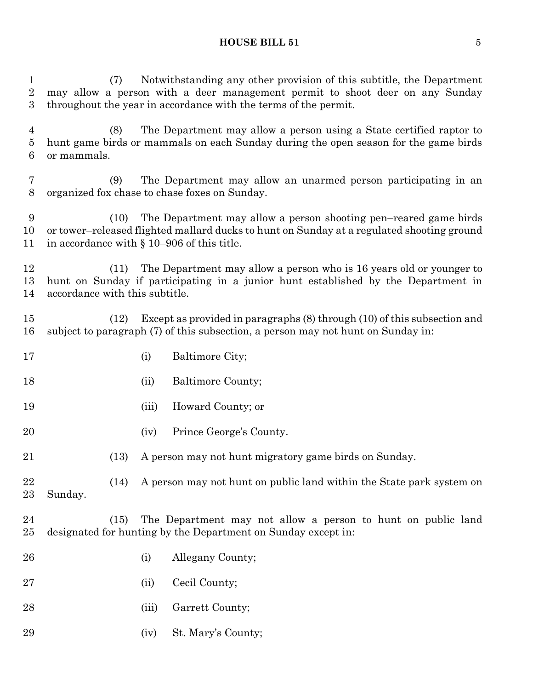#### **HOUSE BILL 51** 5

 (7) Notwithstanding any other provision of this subtitle, the Department may allow a person with a deer management permit to shoot deer on any Sunday throughout the year in accordance with the terms of the permit. (8) The Department may allow a person using a State certified raptor to hunt game birds or mammals on each Sunday during the open season for the game birds or mammals. (9) The Department may allow an unarmed person participating in an organized fox chase to chase foxes on Sunday. (10) The Department may allow a person shooting pen–reared game birds or tower–released flighted mallard ducks to hunt on Sunday at a regulated shooting ground in accordance with § 10–906 of this title. (11) The Department may allow a person who is 16 years old or younger to hunt on Sunday if participating in a junior hunt established by the Department in accordance with this subtitle. (12) Except as provided in paragraphs (8) through (10) of this subsection and subject to paragraph (7) of this subsection, a person may not hunt on Sunday in: 17 (i) Baltimore City; 18 (ii) Baltimore County; (iii) Howard County; or (iv) Prince George's County. (13) A person may not hunt migratory game birds on Sunday. (14) A person may not hunt on public land within the State park system on Sunday. (15) The Department may not allow a person to hunt on public land designated for hunting by the Department on Sunday except in: (i) Allegany County; (ii) Cecil County; 28 (iii) Garrett County; (iv) St. Mary's County;